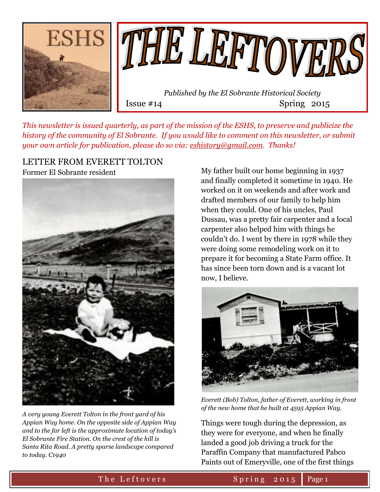

*This newsletter is issued quarterly, as part of the mission of the ESHS, to preserve and publicize the history of the community of El Sobrante. If you would like to comment on this newsletter, or submit your own article for publication, please do so via: [eshistory@gmail.com.](mailto:eshistory@gmail.com) Thanks!*

#### LETTER FROM EVERETT TOLTON Former El Sobrante resident



*A very young Everett Tolton in the front yard of his Appian Way home. On the opposite side of Appian Way and to the far left is the approximate location of today's El Sobrante Fire Station. On the crest of the hill is Santa Rita Road. A pretty sparse landscape compared to today. C1940*

My father built our home beginning in 1937 and finally completed it sometime in 1940. He worked on it on weekends and after work and drafted members of our family to help him when they could. One of his uncles, Paul Dussau, was a pretty fair carpenter and a local carpenter also helped him with things he couldn't do. I went by there in 1978 while they were doing some remodeling work on it to prepare it for becoming a State Farm office. It has since been torn down and is a vacant lot now, I believe.



*Everett (Bob) Tolton, father of Everett, working in front of the new home that he built at 4595 Appian Way.*

Things were tough during the depression, as they were for everyone, and when he finally landed a good job driving a truck for the Paraffin Company that manufactured Pabco Paints out of Emeryville, one of the first things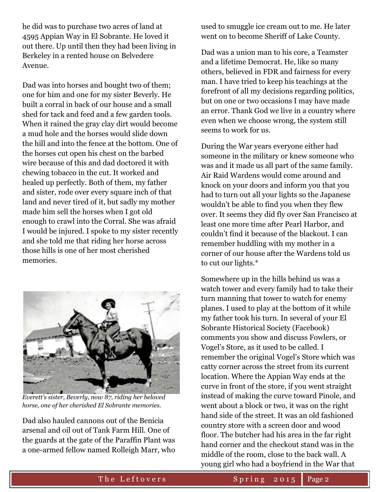he did was to purchase two acres of land at 4595 Appian Way in El Sobrante. He loved it out there. Up until then they had been living in Berkeley in a rented house on Belvedere Avenue.

Dad was into horses and bought two of them; one for him and one for my sister Beverly. He built a corral in back of our house and a small shed for tack and feed and a few garden tools. When it rained the gray clay dirt would become a mud hole and the horses would slide down the hill and into the fence at the bottom. One of the horses cut open his chest on the barbed wire because of this and dad doctored it with chewing tobacco in the cut. It worked and healed up perfectly. Both of them, my father and sister, rode over every square inch of that land and never tired of it, but sadly my mother made him sell the horses when I got old enough to crawl into the Corral. She was afraid I would be injured. I spoke to my sister recently and she told me that riding her horse across those hills is one of her most cherished memories.



*Everett's sister, Beverly, now 87, riding her beloved horse, one of her cherished El Sobrante memories.*

Dad also hauled cannons out of the Benicia arsenal and oil out of Tank Farm Hill. One of the guards at the gate of the Paraffin Plant was a one-armed fellow named Rolleigh Marr, who

used to smuggle ice cream out to me. He later went on to become Sheriff of Lake County.

Dad was a union man to his core, a Teamster and a lifetime Democrat. He, like so many others, believed in FDR and fairness for every man. I have tried to keep his teachings at the forefront of all my decisions regarding politics, but on one or two occasions I may have made an error. Thank God we live in a country where even when we choose wrong, the system still seems to work for us.

During the War years everyone either had someone in the military or knew someone who was and it made us all part of the same family. Air Raid Wardens would come around and knock on your doors and inform you that you had to turn out all your lights so the Japanese wouldn't be able to find you when they flew over. It seems they did fly over San Francisco at least one more time after Pearl Harbor, and couldn't find it because of the blackout. I can remember huddling with my mother in a corner of our house after the Wardens told us to cut our lights.\*

Somewhere up in the hills behind us was a watch tower and every family had to take their turn manning that tower to watch for enemy planes. I used to play at the bottom of it while my father took his turn. In several of your El Sobrante Historical Society (Facebook) comments you show and discuss Fowlers, or Vogel's Store, as it used to be called. I remember the original Vogel's Store which was catty corner across the street from its current location. Where the Appian Way ends at the curve in front of the store, if you went straight instead of making the curve toward Pinole, and went about a block or two, it was on the right hand side of the street. It was an old fashioned country store with a screen door and wood floor. The butcher had his area in the far right hand corner and the checkout stand was in the middle of the room, close to the back wall. A young girl who had a boyfriend in the War that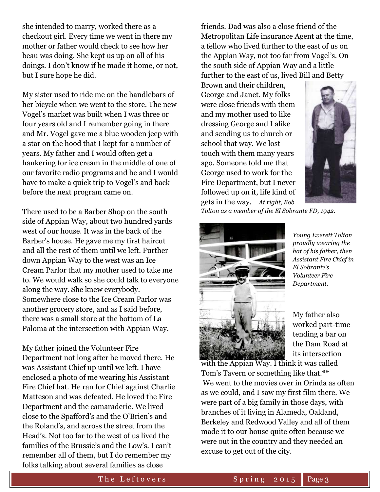she intended to marry, worked there as a checkout girl. Every time we went in there my mother or father would check to see how her beau was doing. She kept us up on all of his doings. I don't know if he made it home, or not, but I sure hope he did.

My sister used to ride me on the handlebars of her bicycle when we went to the store. The new Vogel's market was built when I was three or four years old and I remember going in there and Mr. Vogel gave me a blue wooden jeep with a star on the hood that I kept for a number of years. My father and I would often get a hankering for ice cream in the middle of one of our favorite radio programs and he and I would have to make a quick trip to Vogel's and back before the next program came on.

There used to be a Barber Shop on the south side of Appian Way, about two hundred yards west of our house. It was in the back of the Barber's house. He gave me my first haircut and all the rest of them until we left. Further down Appian Way to the west was an Ice Cream Parlor that my mother used to take me to. We would walk so she could talk to everyone along the way. She knew everybody. Somewhere close to the Ice Cream Parlor was another grocery store, and as I said before, there was a small store at the bottom of La Paloma at the intersection with Appian Way.

My father joined the Volunteer Fire Department not long after he moved there. He was Assistant Chief up until we left. I have enclosed a photo of me wearing his Assistant Fire Chief hat. He ran for Chief against Charlie Matteson and was defeated. He loved the Fire Department and the camaraderie. We lived close to the Spafford's and the O'Brien's and the Roland's, and across the street from the Head's. Not too far to the west of us lived the families of the Brussie's and the Low's. I can't remember all of them, but I do remember my folks talking about several families as close

friends. Dad was also a close friend of the Metropolitan Life insurance Agent at the time, a fellow who lived further to the east of us on the Appian Way, not too far from Vogel's. On the south side of Appian Way and a little further to the east of us, lived Bill and Betty

Brown and their children, George and Janet. My folks were close friends with them and my mother used to like dressing George and I alike and sending us to church or school that way. We lost touch with them many years ago. Someone told me that George used to work for the Fire Department, but I never followed up on it, life kind of gets in the way. *At right, Bob* 



*Tolton as a member of the El Sobrante FD, 1942.*



*Young Everett Tolton proudly wearing the hat of his father, then Assistant Fire Chief in El Sobrante's Volunteer Fire Department.*

My father also worked part-time tending a bar on the Dam Road at its intersection

with the Appian Way. I think it was called Tom's Tavern or something like that.\*\* We went to the movies over in Orinda as often as we could, and I saw my first film there. We were part of a big family in those days, with branches of it living in Alameda, Oakland, Berkeley and Redwood Valley and all of them made it to our house quite often because we were out in the country and they needed an excuse to get out of the city.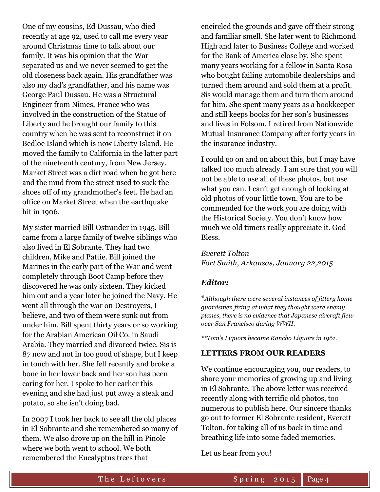One of my cousins, Ed Dussau, who died recently at age 92, used to call me every year around Christmas time to talk about our family. It was his opinion that the War separated us and we never seemed to get the old closeness back again. His grandfather was also my dad's grandfather, and his name was George Paul Dussau. He was a Structural Engineer from Nimes, France who was involved in the construction of the Statue of Liberty and he brought our family to this country when he was sent to reconstruct it on Bedloe Island which is now Liberty Island. He moved the family to California in the latter part of the nineteenth century, from New Jersey. Market Street was a dirt road when he got here and the mud from the street used to suck the shoes off of my grandmother's feet. He had an office on Market Street when the earthquake hit in 1906.

My sister married Bill Ostrander in 1945. Bill came from a large family of twelve siblings who also lived in El Sobrante. They had two children, Mike and Pattie. Bill joined the Marines in the early part of the War and went completely through Boot Camp before they discovered he was only sixteen. They kicked him out and a year later he joined the Navy. He went all through the war on Destroyers, I believe, and two of them were sunk out from under him. Bill spent thirty years or so working for the Arabian American Oil Co. in Saudi Arabia. They married and divorced twice. Sis is 87 now and not in too good of shape, but I keep in touch with her. She fell recently and broke a bone in her lower back and her son has been caring for her. I spoke to her earlier this evening and she had just put away a steak and potato, so she isn't doing bad.

In 2007 I took her back to see all the old places in El Sobrante and she remembered so many of them. We also drove up on the hill in Pinole where we both went to school. We both remembered the Eucalyptus trees that

encircled the grounds and gave off their strong and familiar smell. She later went to Richmond High and later to Business College and worked for the Bank of America close by. She spent many years working for a fellow in Santa Rosa who bought failing automobile dealerships and turned them around and sold them at a profit. Sis would manage them and turn them around for him. She spent many years as a bookkeeper and still keeps books for her son's businesses and lives in Folsom. I retired from Nationwide Mutual Insurance Company after forty years in the insurance industry.

I could go on and on about this, but I may have talked too much already. I am sure that you will not be able to use all of these photos, but use what you can. I can't get enough of looking at old photos of your little town. You are to be commended for the work you are doing with the Historical Society. You don't know how much we old timers really appreciate it. God Bless.

*Everett Tolton Fort Smith, Arkansas, January 22,2015*

### *Editor:*

\**Although there were several instances of jittery home guardsmen firing at what they thought were enemy planes, there is no evidence that Japanese aircraft flew over San Francisco during WWII.*

*\*\*Tom's Liquors became Rancho Liquors in 1961.*

#### **LETTERS FROM OUR READERS**

We continue encouraging you, our readers, to share your memories of growing up and living in El Sobrante. The above letter was received recently along with terrific old photos, too numerous to publish here. Our sincere thanks go out to former El Sobrante resident, Everett Tolton, for taking all of us back in time and breathing life into some faded memories.

Let us hear from you!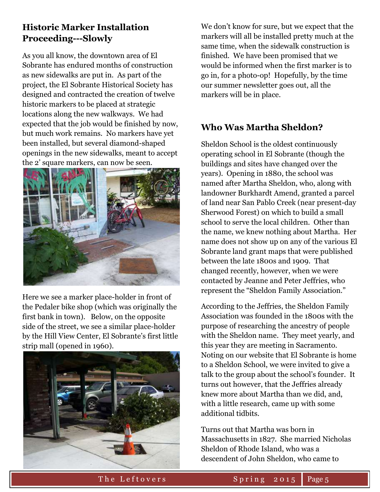## **Historic Marker Installation Proceeding---Slowly**

As you all know, the downtown area of El Sobrante has endured months of construction as new sidewalks are put in. As part of the project, the El Sobrante Historical Society has designed and contracted the creation of twelve historic markers to be placed at strategic locations along the new walkways. We had expected that the job would be finished by now, but much work remains. No markers have yet been installed, but several diamond-shaped openings in the new sidewalks, meant to accept the 2' square markers, can now be seen.



Here we see a marker place-holder in front of the Pedaler bike shop (which was originally the first bank in town). Below, on the opposite side of the street, we see a similar place-holder by the Hill View Center, El Sobrante's first little strip mall (opened in 1960).



We don't know for sure, but we expect that the markers will all be installed pretty much at the same time, when the sidewalk construction is finished. We have been promised that we would be informed when the first marker is to go in, for a photo-op! Hopefully, by the time our summer newsletter goes out, all the markers will be in place.

## **Who Was Martha Sheldon?**

Sheldon School is the oldest continuously operating school in El Sobrante (though the buildings and sites have changed over the years). Opening in 1880, the school was named after Martha Sheldon, who, along with landowner Burkhardt Amend, granted a parcel of land near San Pablo Creek (near present-day Sherwood Forest) on which to build a small school to serve the local children. Other than the name, we knew nothing about Martha. Her name does not show up on any of the various El Sobrante land grant maps that were published between the late 1800s and 1909. That changed recently, however, when we were contacted by Jeanne and Peter Jeffries, who represent the "Sheldon Family Association."

According to the Jeffries, the Sheldon Family Association was founded in the 1800s with the purpose of researching the ancestry of people with the Sheldon name. They meet yearly, and this year they are meeting in Sacramento. Noting on our website that El Sobrante is home to a Sheldon School, we were invited to give a talk to the group about the school's founder. It turns out however, that the Jeffries already knew more about Martha than we did, and, with a little research, came up with some additional tidbits.

Turns out that Martha was born in Massachusetts in 1827. She married Nicholas Sheldon of Rhode Island, who was a descendent of John Sheldon, who came to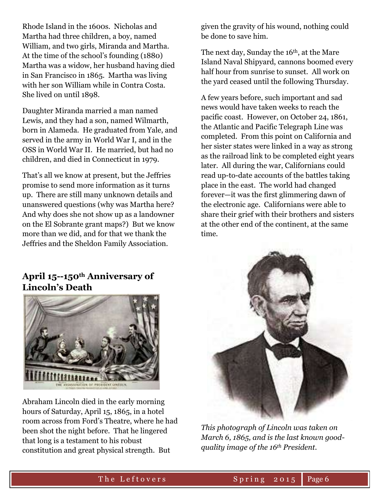Rhode Island in the 1600s. Nicholas and Martha had three children, a boy, named William, and two girls, Miranda and Martha. At the time of the school's founding (1880) Martha was a widow, her husband having died in San Francisco in 1865. Martha was living with her son William while in Contra Costa. She lived on until 1898.

Daughter Miranda married a man named Lewis, and they had a son, named Wilmarth, born in Alameda. He graduated from Yale, and served in the army in World War I, and in the OSS in World War II. He married, but had no children, and died in Connecticut in 1979.

That's all we know at present, but the Jeffries promise to send more information as it turns up. There are still many unknown details and unanswered questions (why was Martha here? And why does she not show up as a landowner on the El Sobrante grant maps?) But we know more than we did, and for that we thank the Jeffries and the Sheldon Family Association.

## given the gravity of his wound, nothing could be done to save him.

The next day, Sunday the 16<sup>th</sup>, at the Mare Island Naval Shipyard, cannons boomed every half hour from sunrise to sunset. All work on the yard ceased until the following Thursday.

A few years before, such important and sad news would have taken weeks to reach the pacific coast. However, on October 24, 1861, the Atlantic and Pacific Telegraph Line was completed. From this point on California and her sister states were linked in a way as strong as the railroad link to be completed eight years later. All during the war, Californians could read up-to-date accounts of the battles taking place in the east. The world had changed forever—it was the first glimmering dawn of the electronic age. Californians were able to share their grief with their brothers and sisters at the other end of the continent, at the same time.

## **April 15--150th Anniversary of Lincoln's Death**



Abraham Lincoln died in the early morning hours of Saturday, April 15, 1865, in a hotel room across from Ford's Theatre, where he had been shot the night before. That he lingered that long is a testament to his robust constitution and great physical strength. But



*This photograph of Lincoln was taken on March 6, 1865, and is the last known goodquality image of the 16th President.*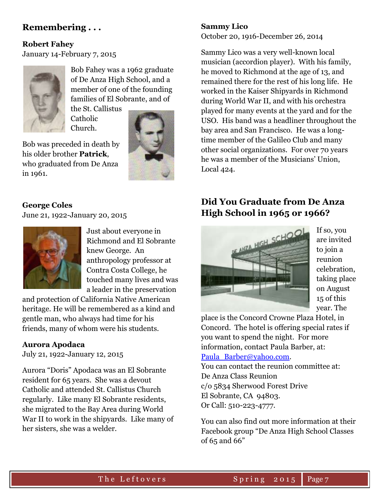## **Remembering . . .**

## **Robert Fahey**

January 14-February 7, 2015



Bob Fahey was a 1962 graduate of De Anza High School, and a member of one of the founding families of El Sobrante, and of

the St. Callistus **Catholic** Church.

Bob was preceded in death by his older brother **Patrick**, who graduated from De Anza in 1961.



## **George Coles**

June 21, 1922-January 20, 2015



Just about everyone in Richmond and El Sobrante knew George. An anthropology professor at Contra Costa College, he touched many lives and was a leader in the preservation

and protection of California Native American heritage. He will be remembered as a kind and gentle man, who always had time for his friends, many of whom were his students.

### **Aurora Apodaca**

July 21, 1922-January 12, 2015

Aurora "Doris" Apodaca was an El Sobrante resident for 65 years. She was a devout Catholic and attended St. Callistus Church regularly. Like many El Sobrante residents, she migrated to the Bay Area during World War II to work in the shipyards. Like many of her sisters, she was a welder.

# **Sammy Lico**

October 20, 1916-December 26, 2014

Sammy Lico was a very well-known local musician (accordion player). With his family, he moved to Richmond at the age of 13, and remained there for the rest of his long life. He worked in the Kaiser Shipyards in Richmond during World War II, and with his orchestra played for many events at the yard and for the USO. His band was a headliner throughout the bay area and San Francisco. He was a longtime member of the Galileo Club and many other social organizations. For over 70 years he was a member of the Musicians' Union, Local 424.

# **Did You Graduate from De Anza High School in 1965 or 1966?**



If so, you are invited to join a reunion celebration, taking place on August 15 of this year. The

place is the Concord Crowne Plaza Hotel, in Concord. The hotel is offering special rates if you want to spend the night. For more information, contact Paula Barber, at: [Paula\\_Barber@yahoo.com.](mailto:Paula_Barber@yahoo.com)

You can contact the reunion committee at: De Anza Class Reunion c/o 5834 Sherwood Forest Drive El Sobrante, CA 94803. Or Call: 510-223-4777.

You can also find out more information at their Facebook group "De Anza High School Classes of 65 and 66"